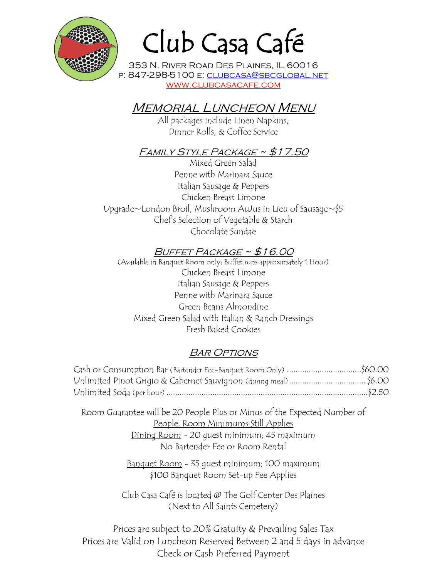

# Club Casa Café

353 N. River Road Des Plaines, IL 60016 p: 847-298-5100 e: clubcasa@sbcglobal.net www.clubcasacafe.com

# Memorial Luncheon Menu

All packages include Linen Napkins, Dinner Rolls, & Coffee Service

#### FAMILY STYLE PACKAGE ~ \$17.50

Mixed Green Salad Penne with Marinara Sauce Italian Sausage & Peppers Chicken Breast Limone Upgrade~London Broil, Mushroom AuJus in Lieu of Sausage~\$5 Chef's Selection of Vegetable & Starch Chocolate Sundae

## BUFFET PACKAGE ~ \$16.00

(Available in Banquet Room only; Buffet runs approximately 1 Hour) Chicken Breast Limone Italian Sausage & Peppers Penne with Marinara Sauce Green Beans Almondine Mixed Green Salad with Italian & Ranch Dressings Fresh Baked Cookies

## **BAR OPTIONS**

| Cash or Consumption Bar (Bartender Fee-Banquet Room Only) \$60.00 |  |
|-------------------------------------------------------------------|--|
| Unlimited Pinot Grigio & Cabernet Sauvignon (during meal)\$6.00   |  |
|                                                                   |  |

Room Guarantee will be 20 People Plus or Minus of the Expected Number of People. Room Minimums Still Applies Dining Room - 20 guest minimum; 45 maximum No Bartender Fee or Room Rental

> Banquet Room - 35 guest minimum; 100 maximum \$100 Banquet Room Set-up Fee Applies

Club Casa Café is located @ The Golf Center Des Plaines (Next to All Saints Cemetery)

Prices are subject to 20% Gratuity & Prevailing Sales Tax Prices are Valid on Luncheon Reserved Between 2 and 5 days in advance Check or Cash Preferred Payment